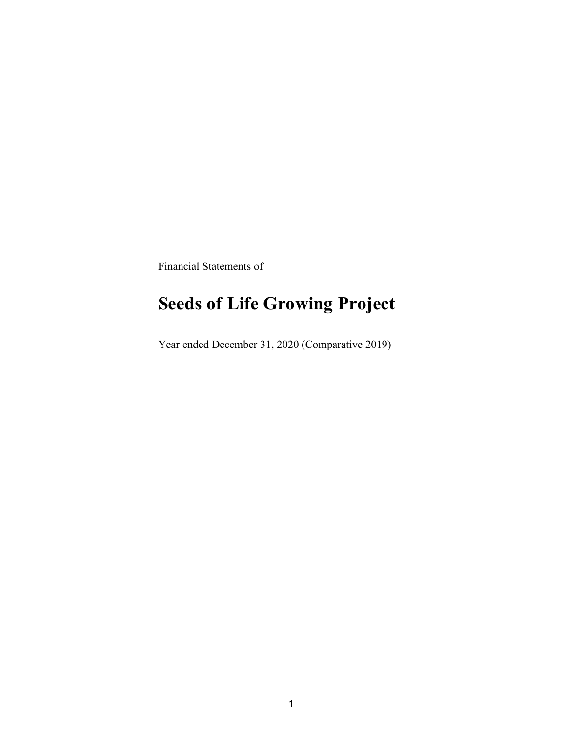Financial Statements of

# **Seeds of Life Growing Project**

Year ended December 31, 2020 (Comparative 2019)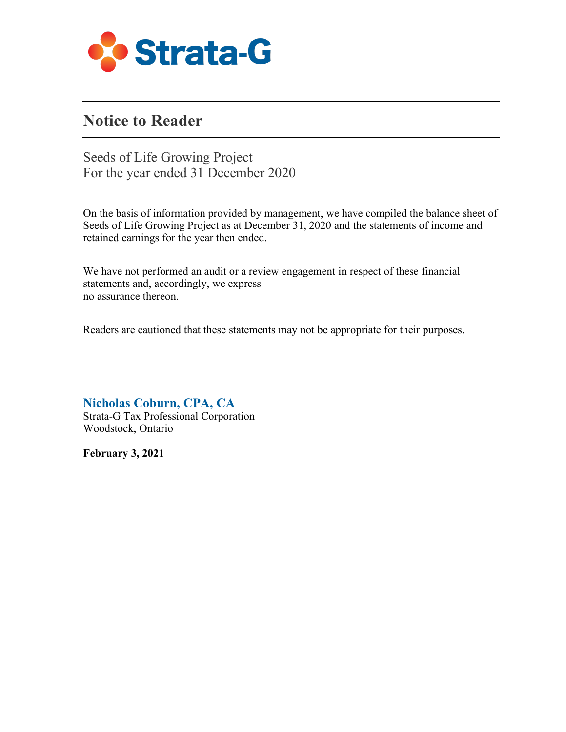

### **Notice to Reader**

Seeds of Life Growing Project For the year ended 31 December 2020

On the basis of information provided by management, we have compiled the balance sheet of Seeds of Life Growing Project as at December 31, 2020 and the statements of income and retained earnings for the year then ended.

We have not performed an audit or a review engagement in respect of these financial statements and, accordingly, we express no assurance thereon.

Readers are cautioned that these statements may not be appropriate for their purposes.

**Nicholas Coburn, CPA, CA** 

Strata-G Tax Professional Corporation Woodstock, Ontario

**February 3, 2021**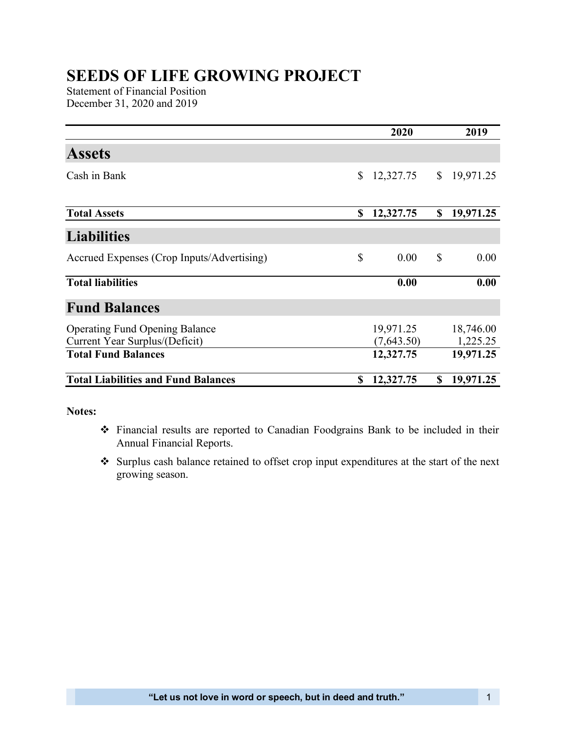## **SEEDS OF LIFE GROWING PROJECT**

Statement of Financial Position December 31, 2020 and 2019

|                                            |    | 2020       |              | 2019      |
|--------------------------------------------|----|------------|--------------|-----------|
| <b>Assets</b>                              |    |            |              |           |
| Cash in Bank                               | \$ | 12,327.75  | $\mathbb{S}$ | 19,971.25 |
| <b>Total Assets</b>                        | \$ | 12,327.75  | \$           | 19,971.25 |
|                                            |    |            |              |           |
| <b>Liabilities</b>                         |    |            |              |           |
| Accrued Expenses (Crop Inputs/Advertising) | \$ | 0.00       | \$           | 0.00      |
| <b>Total liabilities</b>                   |    | 0.00       |              | 0.00      |
| <b>Fund Balances</b>                       |    |            |              |           |
| <b>Operating Fund Opening Balance</b>      |    | 19,971.25  |              | 18,746.00 |
| Current Year Surplus/(Deficit)             |    | (7,643.50) |              | 1,225.25  |
| <b>Total Fund Balances</b>                 |    | 12,327.75  |              | 19,971.25 |
| <b>Total Liabilities and Fund Balances</b> | S  | 12,327.75  | \$           | 19,971.25 |

#### **Notes:**

- Financial results are reported to Canadian Foodgrains Bank to be included in their Annual Financial Reports.
- Surplus cash balance retained to offset crop input expenditures at the start of the next growing season.